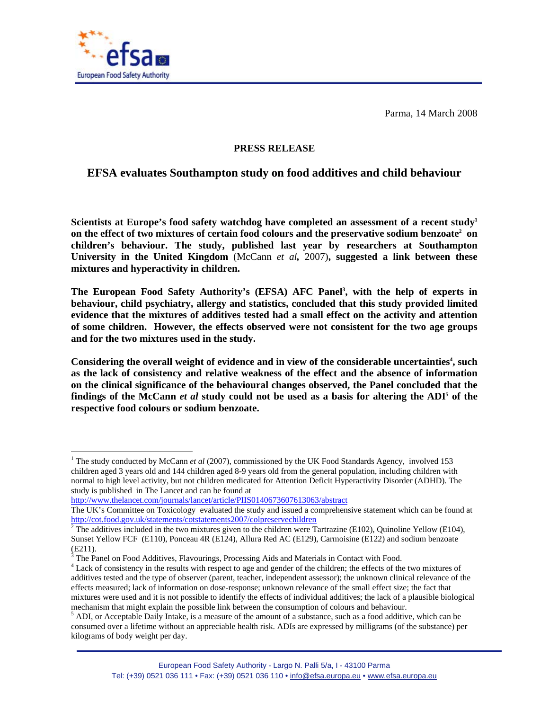

Parma, 14 March 2008

## **PRESS RELEASE**

## **EFSA evaluates Southampton study on food additives and child behaviour**

**Scientists at Europe's food safety watchdog have completed an assessment of a recent study1** on the effect of two mixtures of certain food colours and the preservative sodium benzoate<sup>2</sup> on **children's behaviour. The study, published last year by researchers at Southampton University in the United Kingdom** (McCann *et al,* 2007)**, suggested a link between these mixtures and hyperactivity in children.** 

The European Food Safety Authority's (EFSA) AFC Panel<sup>3</sup>, with the help of experts in **behaviour, child psychiatry, allergy and statistics, concluded that this study provided limited evidence that the mixtures of additives tested had a small effect on the activity and attention of some children. However, the effects observed were not consistent for the two age groups and for the two mixtures used in the study.** 

Considering the overall weight of evidence and in view of the considerable uncertainties<sup>4</sup>, such **as the lack of consistency and relative weakness of the effect and the absence of information on the clinical significance of the behavioural changes observed, the Panel concluded that the**  findings of the McCann *et al* study could not be used as a basis for altering the ADI<sup>5</sup> of the **respective food colours or sodium benzoate.** 

http://www.thelancet.com/journals/lancet/article/PIIS0140673607613063/abstract

<sup>&</sup>lt;sup>1</sup> The study conducted by McCann *et al* (2007), commissioned by the UK Food Standards Agency, involved 153 children aged 3 years old and 144 children aged 8-9 years old from the general population, including children with normal to high level activity, but not children medicated for Attention Deficit Hyperactivity Disorder (ADHD). The study is published in The Lancet and can be found at

The UK's Committee on Toxicology evaluated the study and issued a comprehensive statement which can be found at http://cot.food.gov.uk/statements/cotstatements2007/colpreservechildren

<sup>&</sup>lt;sup>2</sup> The additives included in the two mixtures given to the children were Tartrazine (E102), Quinoline Yellow (E104), Sunset Yellow FCF (E110), Ponceau 4R (E124), Allura Red AC (E129), Carmoisine (E122) and sodium benzoate (E211).

 $3$  The Panel on Food Additives, Flavourings, Processing Aids and Materials in Contact with Food.

<sup>&</sup>lt;sup>4</sup> Lack of consistency in the results with respect to age and gender of the children; the effects of the two mixtures of additives tested and the type of observer (parent, teacher, independent assessor); the unknown clinical relevance of the effects measured; lack of information on dose-response; unknown relevance of the small effect size; the fact that mixtures were used and it is not possible to identify the effects of individual additives; the lack of a plausible biological mechanism that might explain the possible link between the consumption of colours and behaviour.

 $<sup>5</sup>$  ADI, or Acceptable Daily Intake, is a measure of the amount of a substance, such as a food additive, which can be</sup> consumed over a lifetime without an appreciable health risk. ADIs are expressed by milligrams (of the substance) per kilograms of body weight per day.